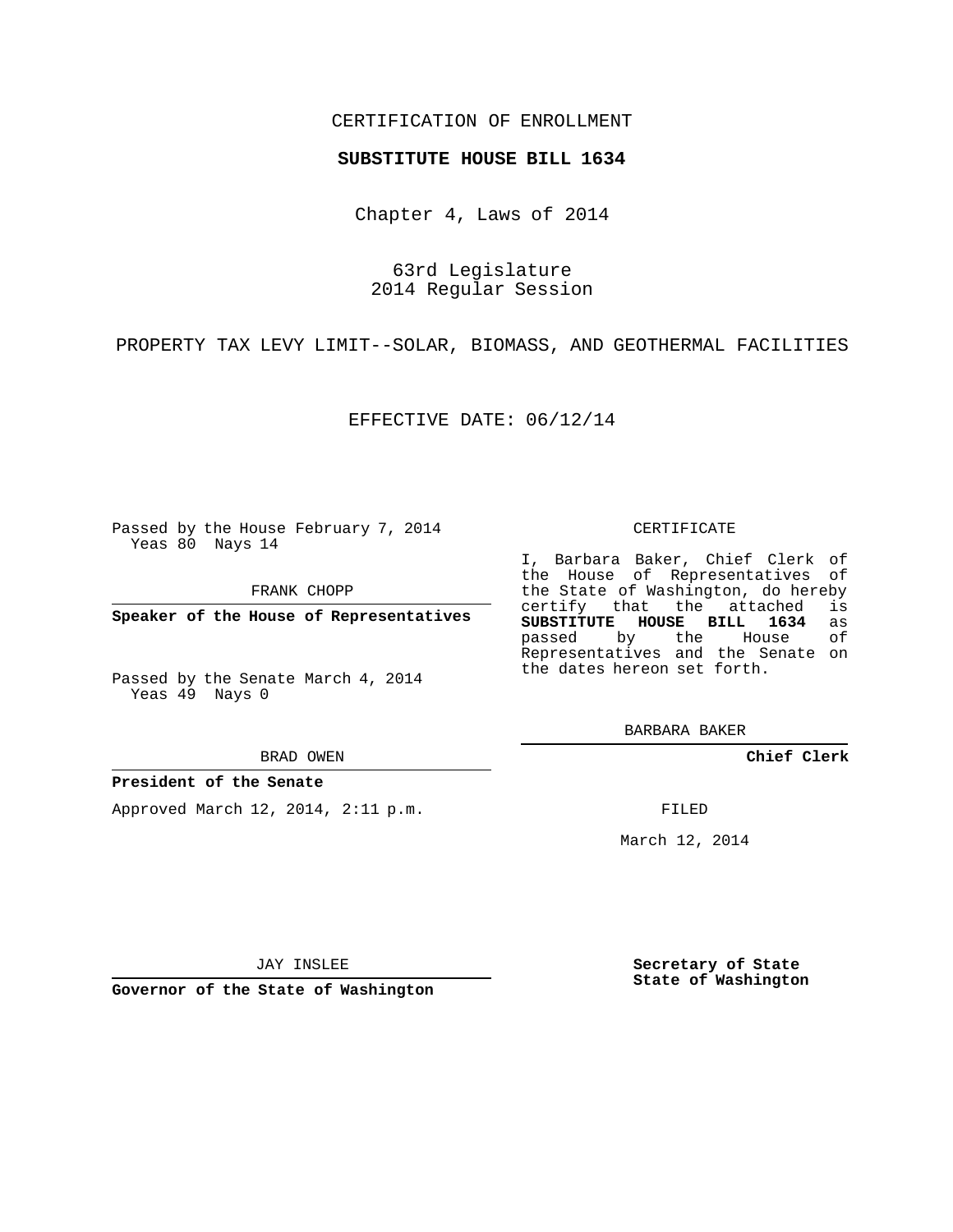### CERTIFICATION OF ENROLLMENT

#### **SUBSTITUTE HOUSE BILL 1634**

Chapter 4, Laws of 2014

63rd Legislature 2014 Regular Session

PROPERTY TAX LEVY LIMIT--SOLAR, BIOMASS, AND GEOTHERMAL FACILITIES

EFFECTIVE DATE: 06/12/14

Passed by the House February 7, 2014 Yeas 80 Nays 14

FRANK CHOPP

**Speaker of the House of Representatives**

Passed by the Senate March 4, 2014 Yeas 49 Nays 0

BRAD OWEN

#### **President of the Senate**

Approved March 12, 2014, 2:11 p.m.

CERTIFICATE

I, Barbara Baker, Chief Clerk of the House of Representatives of the State of Washington, do hereby<br>certify that the attached is certify that the attached **SUBSTITUTE HOUSE BILL 1634** as passed by the House of Representatives and the Senate on the dates hereon set forth.

BARBARA BAKER

**Chief Clerk**

FILED

March 12, 2014

JAY INSLEE

**Governor of the State of Washington**

**Secretary of State State of Washington**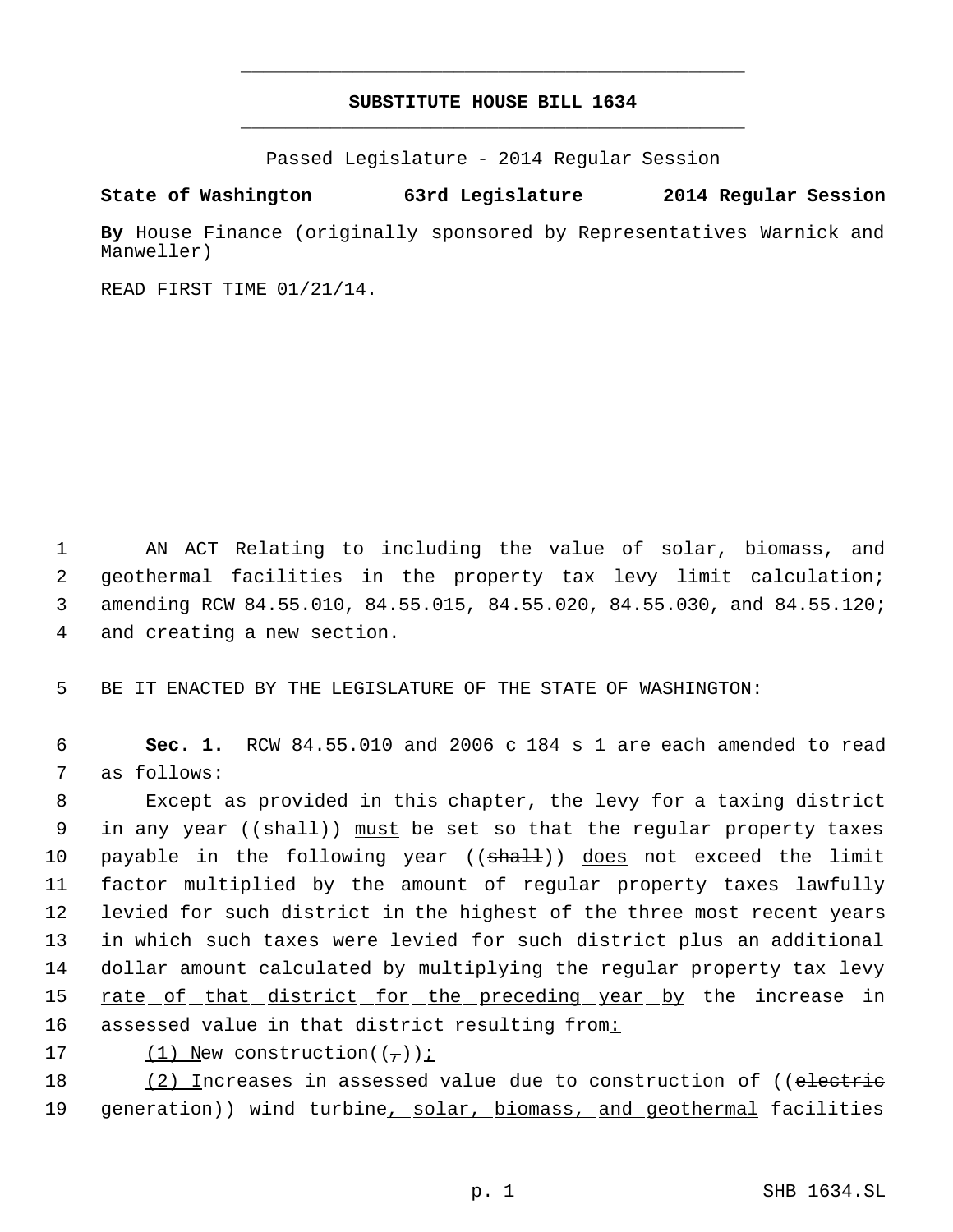# **SUBSTITUTE HOUSE BILL 1634** \_\_\_\_\_\_\_\_\_\_\_\_\_\_\_\_\_\_\_\_\_\_\_\_\_\_\_\_\_\_\_\_\_\_\_\_\_\_\_\_\_\_\_\_\_

\_\_\_\_\_\_\_\_\_\_\_\_\_\_\_\_\_\_\_\_\_\_\_\_\_\_\_\_\_\_\_\_\_\_\_\_\_\_\_\_\_\_\_\_\_

Passed Legislature - 2014 Regular Session

## **State of Washington 63rd Legislature 2014 Regular Session**

**By** House Finance (originally sponsored by Representatives Warnick and Manweller)

READ FIRST TIME 01/21/14.

 AN ACT Relating to including the value of solar, biomass, and geothermal facilities in the property tax levy limit calculation; amending RCW 84.55.010, 84.55.015, 84.55.020, 84.55.030, and 84.55.120; and creating a new section.

5 BE IT ENACTED BY THE LEGISLATURE OF THE STATE OF WASHINGTON:

 6 **Sec. 1.** RCW 84.55.010 and 2006 c 184 s 1 are each amended to read 7 as follows:

 8 Except as provided in this chapter, the levy for a taxing district 9 in any year ((shall)) must be set so that the regular property taxes 10 payable in the following year ((shall)) does not exceed the limit 11 factor multiplied by the amount of regular property taxes lawfully 12 levied for such district in the highest of the three most recent years 13 in which such taxes were levied for such district plus an additional 14 dollar amount calculated by multiplying the regular property tax levy 15 <u>rate of that district for the preceding year by</u> the increase in 16 assessed value in that district resulting from:

17 (1) New construction( $(\tau)$ );

18 (2) Increases in assessed value due to construction of ((electric 19 generation)) wind turbine, solar, biomass, and geothermal facilities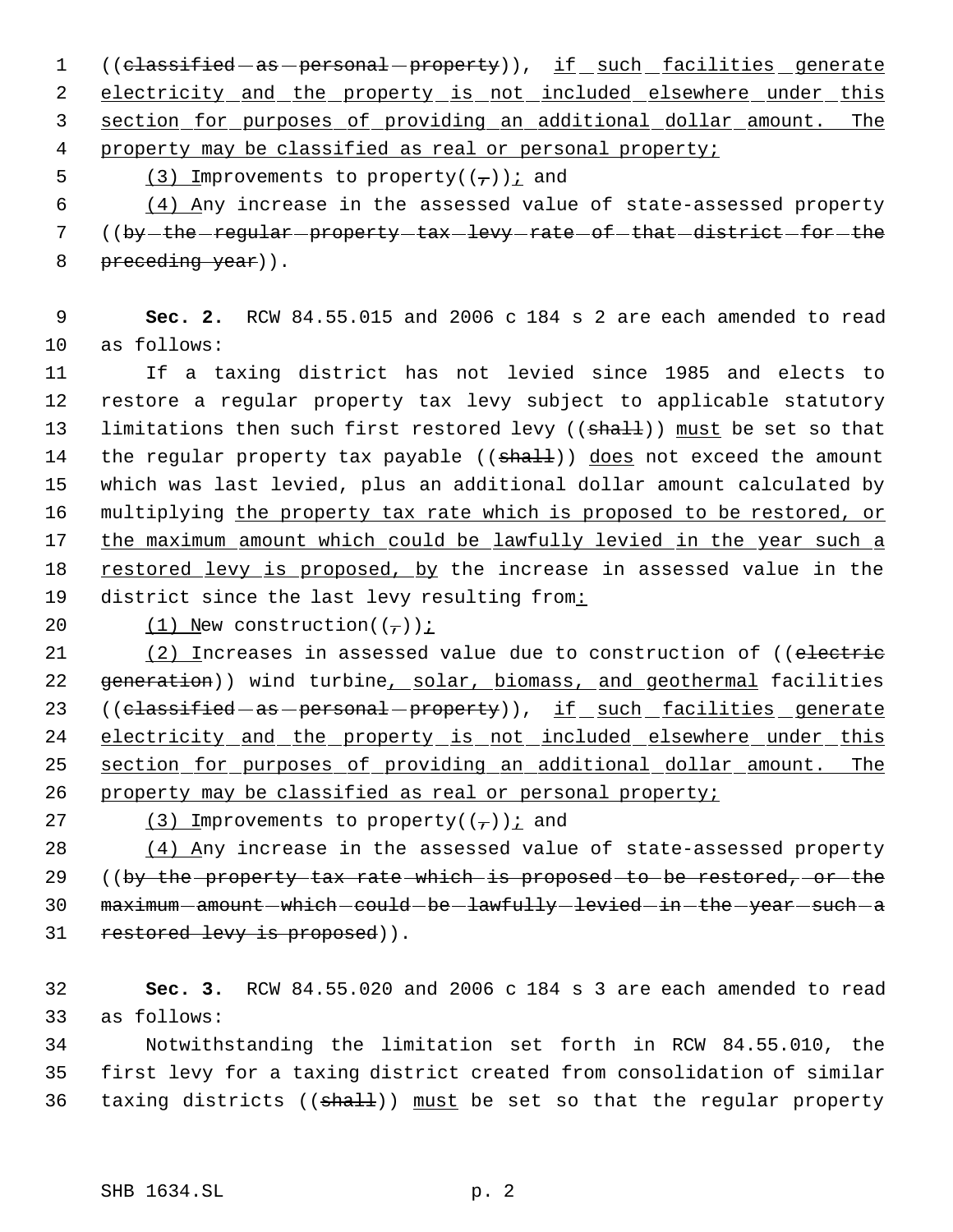1 ((classified - as - personal - property)), if such facilities generate 2 electricity and the property is not included elsewhere under this 3 section for purposes of providing an additional dollar amount. The

4 property may be classified as real or personal property;

5 (3) Improvements to property( $(\tau)$ ) i and

 6 (4) Any increase in the assessed value of state-assessed property 7 ((by-the-regular-property-tax-levy-rate-of-that-district-for-the 8 preceding year)).

 9 **Sec. 2.** RCW 84.55.015 and 2006 c 184 s 2 are each amended to read 10 as follows:

11 If a taxing district has not levied since 1985 and elects to 12 restore a regular property tax levy subject to applicable statutory 13 limitations then such first restored levy ( $(\text{sha1})$ ) must be set so that 14 the regular property tax payable ((shall)) does not exceed the amount 15 which was last levied, plus an additional dollar amount calculated by 16 multiplying the property tax rate which is proposed to be restored, or 17 the maximum amount which could be lawfully levied in the year such a 18 restored levy is proposed, by the increase in assessed value in the 19 district since the last levy resulting from:

20  $(1)$  New construction( $(\tau)$ );

21 (2) Increases in assessed value due to construction of ((electric 22 generation)) wind turbine, solar, biomass, and geothermal facilities 23 ((classified - as - personal - property)), if such facilities generate 24 electricity and the property is not included elsewhere under this 25 section for purposes of providing an additional dollar amount. The 26 property may be classified as real or personal property;

27 (3) Improvements to property( $(\tau)$ ) i and

28 (4) Any increase in the assessed value of state-assessed property 29 ((by the property tax rate which is proposed to be restored, or the 30 maximum amount which could be lawfully levied in the year such a 31 restored levy is proposed)).

32 **Sec. 3.** RCW 84.55.020 and 2006 c 184 s 3 are each amended to read 33 as follows:

34 Notwithstanding the limitation set forth in RCW 84.55.010, the 35 first levy for a taxing district created from consolidation of similar 36 taxing districts ( $(\text{shalt})$ ) must be set so that the regular property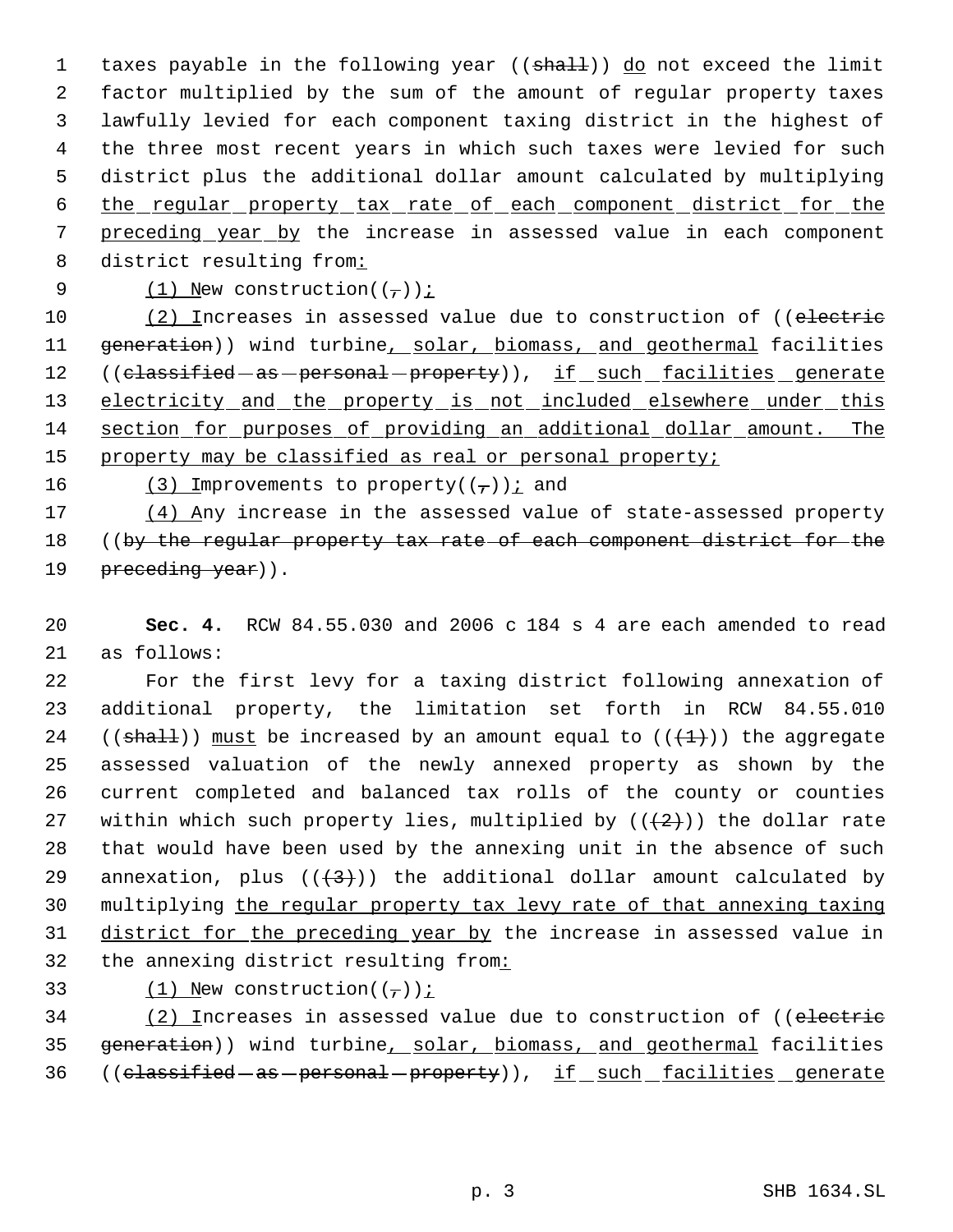1 taxes payable in the following year ((shall)) do not exceed the limit factor multiplied by the sum of the amount of regular property taxes lawfully levied for each component taxing district in the highest of the three most recent years in which such taxes were levied for such district plus the additional dollar amount calculated by multiplying the regular property tax rate of each component district for the preceding year by the increase in assessed value in each component 8 district resulting from:

9  $(1)$  New construction( $(\tau)$ );

10 (2) Increases in assessed value due to construction of ((electric 11 generation)) wind turbine, solar, biomass, and geothermal facilities 12 ((classified - as - personal - property)), if such facilities generate 13 electricity and the property is not included elsewhere under this 14 section for purposes of providing an additional dollar amount. The 15 property may be classified as real or personal property;

16 (3) Improvements to property( $(\tau)$ ) i and

17 (4) Any increase in the assessed value of state-assessed property 18 ((by the regular property tax rate of each component district for the 19 preceding year)).

20 **Sec. 4.** RCW 84.55.030 and 2006 c 184 s 4 are each amended to read 21 as follows:

 For the first levy for a taxing district following annexation of additional property, the limitation set forth in RCW 84.55.010 24 (( $shall$ )) must be increased by an amount equal to ( $($  $($  $+1)$ )) the aggregate assessed valuation of the newly annexed property as shown by the current completed and balanced tax rolls of the county or counties 27 within which such property lies, multiplied by  $((+2))$  the dollar rate that would have been used by the annexing unit in the absence of such 29 annexation, plus  $((+3))$  the additional dollar amount calculated by multiplying the regular property tax levy rate of that annexing taxing district for the preceding year by the increase in assessed value in the annexing district resulting from:

33  $(1)$  New construction( $(\tau)$ );

34 (2) Increases in assessed value due to construction of ((electric 35 generation)) wind turbine, solar, biomass, and geothermal facilities 36 ((classified - as - personal - property)), if such facilities generate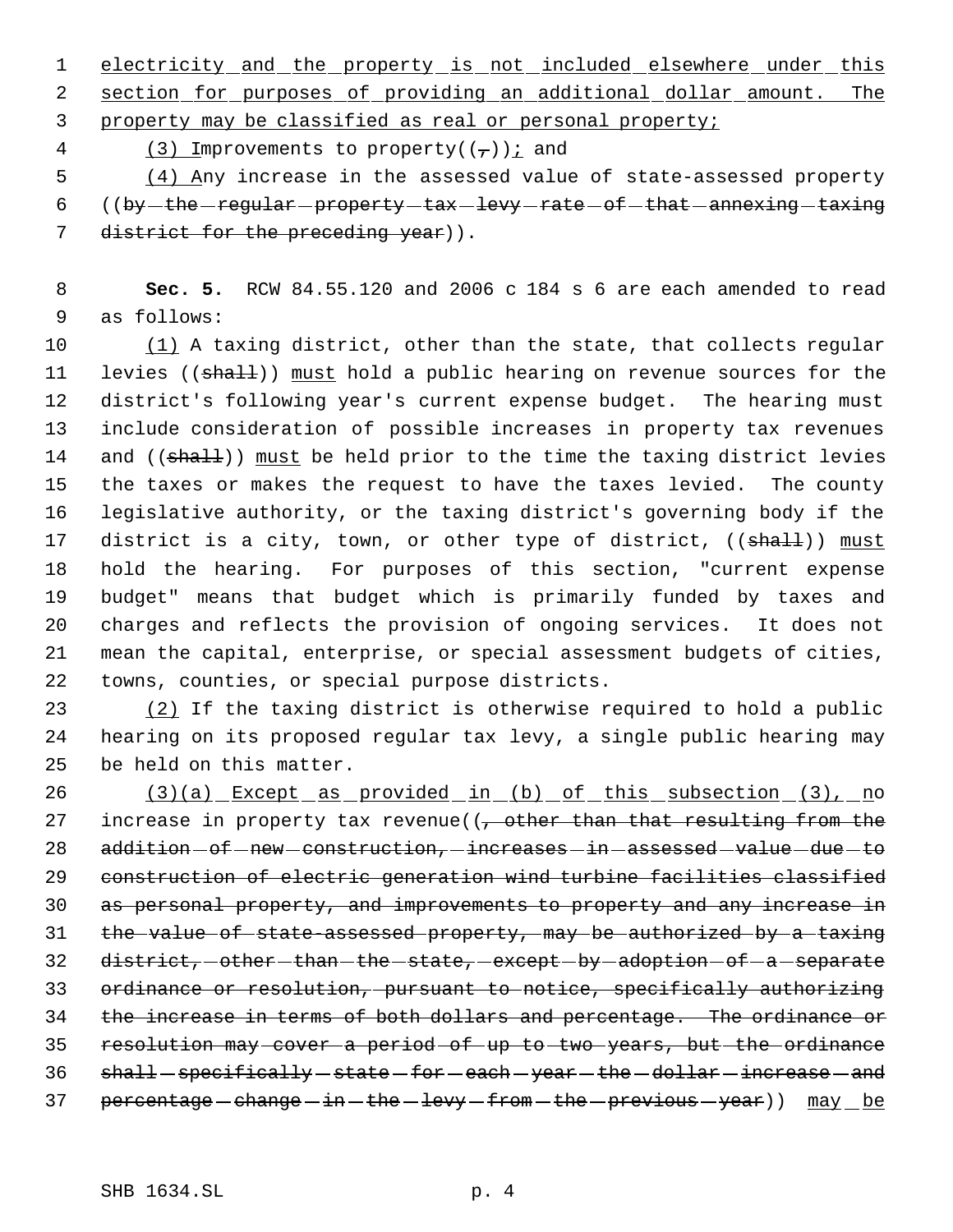1 electricity and the property is not included elsewhere under this 2 section for purposes of providing an additional dollar amount. The 3 property may be classified as real or personal property;

4 (3) Improvements to property( $(\tau)$ ) i and

 5 (4) Any increase in the assessed value of state-assessed property 6  $(6 + 6)$  ( $by$  -the -regular -property -tax -levy -rate -of -that -annexing -taxing 7 district for the preceding year)).

 8 **Sec. 5.** RCW 84.55.120 and 2006 c 184 s 6 are each amended to read 9 as follows:

10 (1) A taxing district, other than the state, that collects regular 11 levies ((shall)) must hold a public hearing on revenue sources for the district's following year's current expense budget. The hearing must include consideration of possible increases in property tax revenues 14 and ((shall)) must be held prior to the time the taxing district levies the taxes or makes the request to have the taxes levied. The county legislative authority, or the taxing district's governing body if the 17 district is a city, town, or other type of district, ((shall)) must hold the hearing. For purposes of this section, "current expense budget" means that budget which is primarily funded by taxes and charges and reflects the provision of ongoing services. It does not mean the capital, enterprise, or special assessment budgets of cities, towns, counties, or special purpose districts.

23 (2) If the taxing district is otherwise required to hold a public 24 hearing on its proposed regular tax levy, a single public hearing may 25 be held on this matter.

26 (3)(a) Except as provided in (b) of this subsection (3), no 27 increase in property tax revenue( $\left(-\right.$  other than that resulting from the 28 addition - of - new - construction, - increases - in - assessed - value - due - to 29 construction of electric generation wind turbine facilities classified 30 as personal property, and improvements to property and any increase in 31 the value of state-assessed property, may be authorized by a taxing 32 district, other than the state, except by adoption of a separate 33 ordinance or resolution, pursuant to notice, specifically authorizing 34 the increase in terms of both dollars and percentage. The ordinance or 35 resolution may cover a period of up to two years, but the ordinance 36 shall-specifically-state-for-each-year-the-dollar-increase-and 37 percentage - change - in - the - levy - from - the - previous - year)) may be